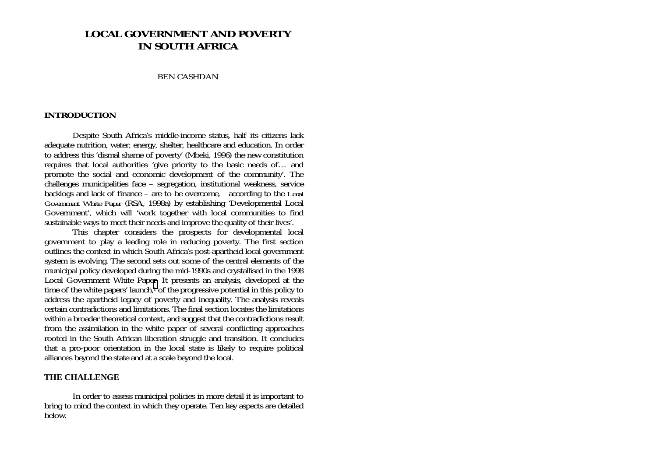# **LOCAL GOVERNMENT AND POVERTY IN SOUTH AFRICA**

#### BEN CASHDAN

# **INTRODUCTION**

Despite South Africa's middle-income status, half its citizens lack adequate nutrition, water, energy, shelter, healthcare and education. In order to address this 'dismal shame of poverty' (Mbeki, 1996) the new constitution requires that local authorities 'give priority to the basic needs of… and promote the social and economic development of the community'. The challenges municipalities face – segregation, institutional weakness, service backlogs and lack of finance – are to be overcome, according to the *Local Government White Paper* (RSA, 1998a) by establishing 'Developmental Local Government', which will 'work together with local communities to find sustainable ways to meet their needs and improve the quality of their lives'.

This chapter considers the prospects for developmental local government to play a leading role in reducing poverty. The first section outlines the context in which South Africa's post-apartheid local government system is evolving. The second sets out some of the central elements of the municipal policy developed during the mid-1990s and crystallised in the 1998 Local Government White Pap[er.](#page-27-0) It presents an analysis, developed at the time of the white papers' launch,<sup>1</sup> of the progressive potential in this policy to address the apartheid legacy of poverty and inequality. The analysis reveals certain contradictions and limitations. The final section locates the limitations within a broader theoretical context, and suggest that the contradictions result from the assimilation in the white paper of several conflicting approaches rooted in the South African liberation struggle and transition. It concludes that a pro-poor orientation in the local state is likely to require political alliances beyond the state and at a scale beyond the local.

### **THE CHALLENGE**

In order to assess municipal policies in more detail it is important to bring to mind the context in which they operate. Ten key aspects are detailed below.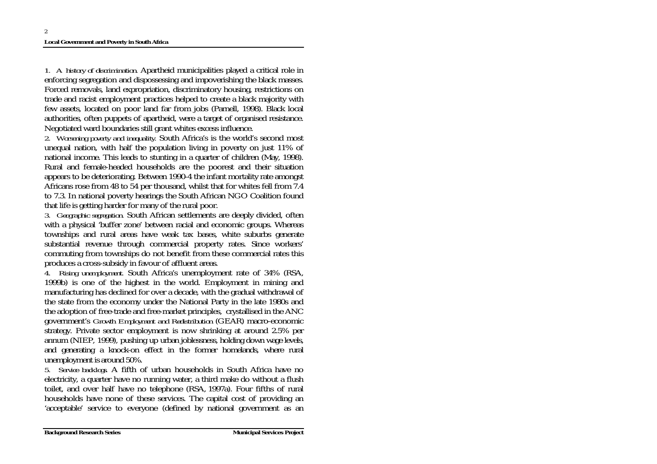2

*1. A history of discrimination.* Apartheid municipalities played a critical role in enforcing segregation and dispossessing and impoverishing the black masses. Forced removals, land expropriation, discriminatory housing, restrictions on trade and racist employment practices helped to create a black majority with few assets, located on poor land far from jobs (Parnell, 1998). Black local authorities, often puppets of apartheid, were a target of organised resistance. Negotiated ward boundaries still grant whites excess influence.

*2. Worsening poverty and inequality.* South Africa's is the world's second most unequal nation, with half the population living in poverty on just 11% of national income. This leads to stunting in a quarter of children (May, 1998). Rural and female-headed households are the poorest and their situation appears to be deteriorating. Between 1990-4 the infant mortality rate amongst Africans rose from 48 to 54 per thousand, whilst that for whites fell from 7.4 to 7.3. In national poverty hearings the South African NGO Coalition found that life is getting harder for many of the rural poor.

*3. Geographic segregation.* South African settlements are deeply divided, often with a physical 'buffer zone' between racial and economic groups. Whereas townships and rural areas have weak tax bases, white suburbs generate substantial revenue through commercial property rates. Since workers' commuting from townships do not benefit from these commercial rates this produces a cross-subsidy in favour of affluent areas.

*4. Rising unemployment.* South Africa's unemployment rate of 34% (RSA, 1999b) is one of the highest in the world. Employment in mining and manufacturing has declined for over a decade, with the gradual withdrawal of the state from the economy under the National Party in the late 1980s and the adoption of free-trade and free-market principles, crystallised in the ANC government's *Growth Employment and Redistribution* (GEAR) macro-economic strategy. Private sector employment is now shrinking at around 2.5% per annum (NIEP, 1999), pushing up urban joblessness, holding down wage levels, and generating a knock-on effect in the former homelands, where rural unemployment is around 50%.

*5. Service backlogs.* A fifth of urban households in South Africa have no electricity, a quarter have no running water, a third make do without a flush toilet, and over half have no telephone (RSA, 1997a). Four fifths of rural households have none of these services. The capital cost of providing an 'acceptable' service to everyone (defined by national government as an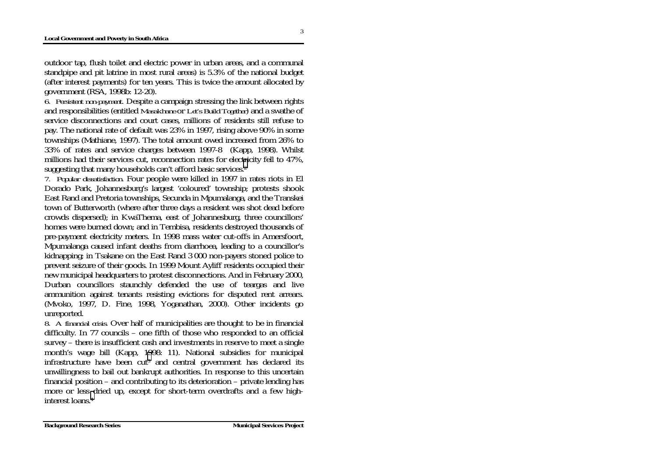outdoor tap, flush toilet and electric power in urban areas, and a communal standpipe and pit latrine in most rural areas) is 5.3% of the national budget (after interest payments) for ten years. This is twice the amount allocated by government (RSA, 1998b: 12-20).

*6. Persistent non-payment.* Despite a campaign stressing the link between rights and responsibilities (entitled *Masakhane* or *Let's Build Together*) and a swathe of service disconnections and court cases, millions of residents still refuse to pay. The national rate of default was 23% in 1997, rising above 90% in some townships (Mathiane, 1997). The total amount owed increased from 26% to 33% of rates and service charges between 1997-8 (Kapp, 1998). Whilst millions had their services cut, reconnection rates for elec[tri](#page-27-0)city fell to 47%, suggesting that many households can't afford basic services.2

*7. Popular dissatisfaction.* Four people were killed in 1997 in rates riots in El Dorado Park, Johannesburg's largest 'coloured' township; protests shook East Rand and Pretoria townships, Secunda in Mpumalanga, and the Transkei town of Butterworth (where after three days a resident was shot dead before crowds dispersed); in KwaThema, east of Johannesburg, three councillors' homes were burned down; and in Tembisa, residents destroyed thousands of pre-payment electricity meters. In 1998 mass water cut-offs in Amersfoort, Mpumalanga caused infant deaths from diarrhoea, leading to a councillor's kidnapping; in Tsakane on the East Rand 3 000 non-payers stoned police to prevent seizure of their goods. In 1999 Mount Ayliff residents occupied their new municipal headquarters to protest disconnections. And in February 2000, Durban councillors staunchly defended the use of teargas and live ammunition against tenants resisting evictions for disputed rent arrears. (Mvoko, 1997, D. Fine, 1998, Yoganathan, 2000). Other incidents go unreported.

*8. A financial crisis.* Over half of municipalities are thought to be in financial difficulty. In 77 councils – one fifth of those who responded to an official survey – there is insufficient cash and investments in reserve to meet a single month's wage bill (Kapp, [19](#page-27-0)98: 11). National subsidies for municipal infrastructure have been cut<sup>3</sup> and central government has declared its unwillingness to bail out bankrupt authorities. In response to this uncertain financial position – and contributing to its deterioration – private lending has more or less [d](#page-27-0)ried up, except for short-term overdrafts and a few highinterest loans.4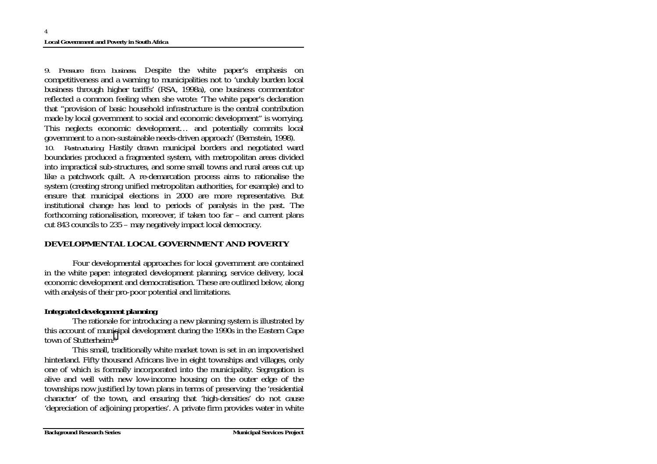*9. Pressure from business.* Despite the white paper's emphasis on competitiveness and a warning to municipalities not to 'unduly burden local business through higher tariffs' (RSA, 1998a), one business commentator reflected a common feeling when she wrote: 'The white paper's declaration that "provision of basic household infrastructure is the central contribution made by local government to social and economic development" is worrying. This neglects economic development… and potentially commits local government to a non-sustainable needs-driven approach' (Bernstein, 1998).

*10. Restructuring.* Hastily drawn municipal borders and negotiated ward boundaries produced a fragmented system, with metropolitan areas divided into impractical sub-structures, and some small towns and rural areas cut up like a patchwork quilt. A re-demarcation process aims to rationalise the system (creating strong unified metropolitan authorities, for example) and to ensure that municipal elections in 2000 are more representative. But institutional change has lead to periods of paralysis in the past. The forthcoming rationalisation, moreover, if taken too far – and current plans cut 843 councils to 235 – may negatively impact local democracy.

# **DEVELOPMENTAL LOCAL GOVERNMENT AND POVERTY**

Four developmental approaches for local government are contained in the white paper: integrated development planning, service delivery, local economic development and democratisation. These are outlined below, along with analysis of their pro-poor potential and limitations.

# *Integrated development planning*

The rationale for introducing a new planning system is illustrated by this account of mun[ic](#page-27-0)ipal development during the 1990s in the Eastern Cape town of Stutterheim:5

This small, traditionally white market town is set in an impoverished hinterland. Fifty thousand Africans live in eight townships and villages, only one of which is formally incorporated into the municipality. Segregation is alive and well with new low-income housing on the outer edge of the townships now justified by town plans in terms of preserving the 'residential character' of the town, and ensuring that 'high-densities' do not cause 'depreciation of adjoining properties'. A private firm provides water in white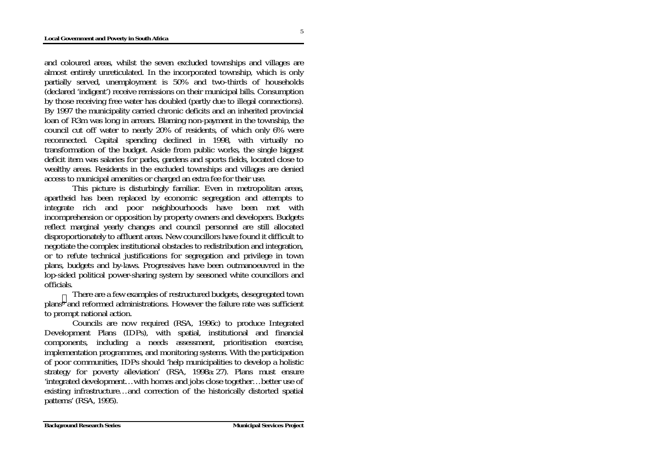and coloured areas, whilst the seven excluded townships and villages are almost entirely unreticulated. In the incorporated township, which is only partially served, unemployment is 50% and two-thirds of households (declared 'indigent') receive remissions on their municipal bills. Consumption by those receiving free water has doubled (partly due to illegal connections). By 1997 the municipality carried chronic deficits and an inherited provincial loan of R3m was long in arrears. Blaming non-payment in the township, the council cut off water to nearly 20% of residents, of which only 6% were reconnected. Capital spending declined in 1998, with virtually no transformation of the budget. Aside from public works, the single biggest deficit item was salaries for parks, gardens and sports fields, located close to wealthy areas. Residents in the excluded townships and villages are denied access to municipal amenities or charged an extra fee for their use.

This picture is disturbingly familiar. Even in metropolitan areas, apartheid has been replaced by economic segregation and attempts to integrate rich and poor neighbourhoods have been met with incomprehension or opposition by property owners and developers. Budgets reflect marginal yearly changes and council personnel are still allocated disproportionately to affluent areas. New councillors have found it difficult to negotiate the complex institutional obstacles to redistribution and integration, or to refute technical justifications for segregation and privilege in town plans, budgets and by-laws. Progressives have been outmanoeuvred in the lop-sided political power-sharing system by seasoned white councillors and officials.

There are a few examples of restructured budgets, desegregated town plans[6](#page-27-0) and reformed administrations. However the failure rate was sufficient to prompt national action.

Councils are now required (RSA, 1996c) to produce Integrated Development Plans (IDPs), with spatial, institutional and financial components, including a needs assessment, prioritisation exercise, implementation programmes, and monitoring systems. With the participation of poor communities, IDPs should 'help municipalities to develop a holistic strategy for poverty alleviation' (RSA, 1998a: 27). Plans must ensure 'integrated development…with homes and jobs close together…better use of existing infrastructure…and correction of the historically distorted spatial patterns' (RSA, 1995).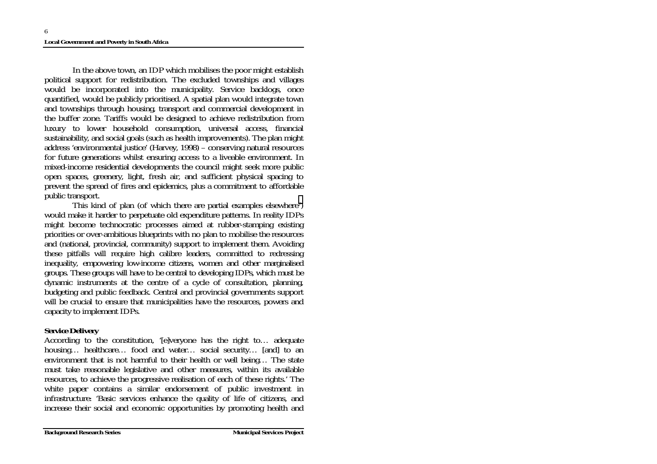In the above town, an IDP which mobilises the poor might establish political support for redistribution. The excluded townships and villages would be incorporated into the municipality. Service backlogs, once quantified, would be publicly prioritised. A spatial plan would integrate town and townships through housing, transport and commercial development in the buffer zone. Tariffs would be designed to achieve redistribution from luxury to lower household consumption, universal access, financial sustainability, and social goals (such as health improvements). The plan might address 'environmental justice' (Harvey, 1998) – conserving natural resources for future generations whilst ensuring access to a liveable environment. In mixed-income residential developments the council might seek more public open spaces, greenery, light, fresh air, and sufficient physical spacing to prevent the spread of fires and epidemics, plus a commitment to affordable public transport.

This kind of plan (of which there are partial examples elsewhere<sup>7</sup>) would make it harder to perpetuate old expenditure patterns. In reality IDPs might become technocratic processes aimed at rubber-stamping existing priorities or over-ambitious blueprints with no plan to mobilise the resources and (national, provincial, community) support to implement them. Avoiding these pitfalls will require high calibre leaders, committed to redressing inequality, empowering low-income citizens, women and other marginalised groups. These groups will have to be central to developing IDPs, which must be dynamic instruments at the centre of a cycle of consultation, planning, budgeting and public feedback. Central and provincial governments support will be crucial to ensure that municipalities have the resources, powers and capacity to implement IDPs.

# *Service Delivery*

According to the constitution, '[e]veryone has the right to… adequate housing... healthcare... food and water... social security... [and] to an environment that is not harmful to their health or well being… The state must take reasonable legislative and other measures, within its available resources, to achieve the progressive realisation of each of these rights.' The white paper contains a similar endorsement of public investment in infrastructure: 'Basic services enhance the quality of life of citizens, and increase their social and economic opportunities by promoting health and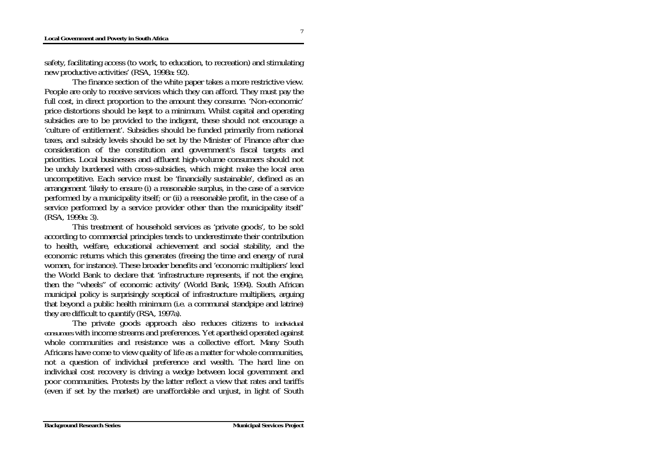safety, facilitating access (to work, to education, to recreation) and stimulating new productive activities' (RSA, 1998a: 92).

The finance section of the white paper takes a more restrictive view. People are only to receive services which they can afford. They must pay the full cost, in direct proportion to the amount they consume. 'Non-economic' price distortions should be kept to a minimum. Whilst capital and operating subsidies are to be provided to the indigent, these should not encourage a 'culture of entitlement'. Subsidies should be funded primarily from national taxes, and subsidy levels should be set by the Minister of Finance after due consideration of the constitution and government's fiscal targets and priorities. Local businesses and affluent high-volume consumers should not be unduly burdened with cross-subsidies, which might make the local area uncompetitive. Each service must be 'financially sustainable', defined as an arrangement 'likely to ensure (i) a reasonable surplus, in the case of a service performed by a municipality itself; or (ii) a reasonable profit, in the case of a service performed by a service provider other than the municipality itself' (RSA, 1999a: 3).

This treatment of household services as 'private goods', to be sold according to commercial principles tends to underestimate their contribution to health, welfare, educational achievement and social stability, and the economic returns which this generates (freeing the time and energy of rural women, for instance). These broader benefits and 'economic multipliers' lead the World Bank to declare that 'infrastructure represents, if not the engine, then the "wheels" of economic activity' (World Bank, 1994). South African municipal policy is surprisingly sceptical of infrastructure multipliers, arguing that beyond a public health minimum (i.e. a communal standpipe and latrine) they are difficult to quantify (RSA, 1997a).

The private goods approach also reduces citizens to *individual consumers* with income streams and preferences. Yet apartheid operated against whole communities and resistance was a collective effort. Many South Africans have come to view quality of life as a matter for whole communities, not a question of individual preference and wealth. The hard line on individual cost recovery is driving a wedge between local government and poor communities. Protests by the latter reflect a view that rates and tariffs (even if set by the market) are unaffordable and unjust, in light of South

7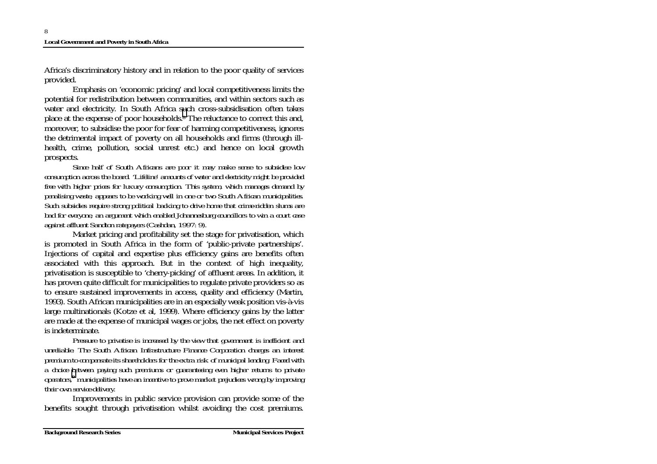Africa's discriminatory history and in relation to the poor quality of services provided.

Emphasis on 'economic pricing' and local competitiveness limits the potential for redistribution between communities, and within sectors such as water and electricity. In South Africa [su](#page-27-0)ch cross-subsidisation often takes place at the expense of poor households.8 The reluctance to correct this and, moreover, to subsidise the poor for fear of harming competitiveness, ignores the detrimental impact of poverty on all households and firms (through illhealth, crime, pollution, social unrest etc.) and hence on local growth prospects.

*Since half of South Africans are poor it may make sense to subsidise low consumption across the board. 'Lifeline' amounts of water and electricity might be provided free with higher prices for luxury consumption. This system, which manages demand by penalising waste, appears to be working well in one or two South African municipalities. Such subsidies require strong political backing to drive home that crime-ridden slums are bad for everyone, an argument which enabled Johannesburg councillors to win a court case against affluent Sandton ratepayers (Cashdan, 1997: 9).* 

Market pricing and profitability set the stage for privatisation, which is promoted in South Africa in the form of 'public-private partnerships'. Injections of capital and expertise plus efficiency gains are benefits often associated with this approach. But in the context of high inequality, privatisation is susceptible to 'cherry-picking' of affluent areas. In addition, it has proven quite difficult for municipalities to regulate private providers so as to ensure sustained improvements in access, quality and efficiency (Martin, 1993). South African municipalities are in an especially weak position vis-à-vis large multinationals (Kotze et al, 1999). Where efficiency gains by the latter are made at the expense of municipal wages or jobs, the net effect on poverty is indeterminate.

*Pressure to privatise is increased by the view that government is inefficient and unreliable. The South African Infrastructure Finance Corporation charges an interest premium to compensate its shareholders for the extra risk of municipal lending. Faced with a choice [be](#page-27-0)tween paying such premiums or guaranteeing even higher returns to private operators,<sup>9</sup> municipalities have an incentive to prove market prejudices wrong by improving their own service delivery.* 

Improvements in public service provision can provide some of the benefits sought through privatisation whilst avoiding the cost premiums.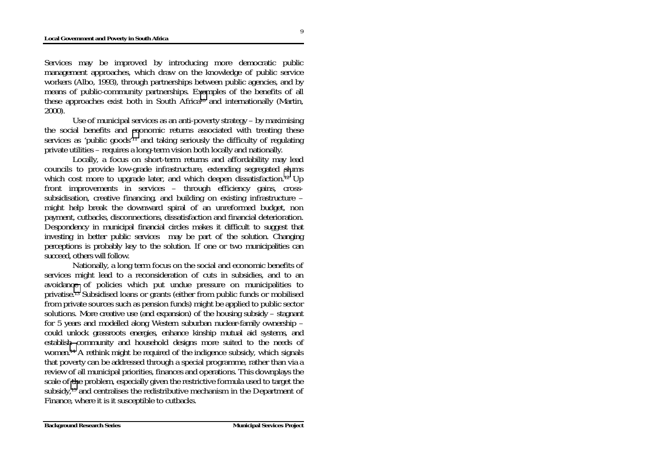9

Services may be improved by introducing more democratic public management approaches, which draw on the knowledge of public service workers (Albo, 1993), through partnerships between public agencies, and by means of public-community partnerships. E[xam](#page-27-0)ples of the benefits of all these approaches exist both in South Africa10 and internationally (Martin, 2000).

Use of municipal services as an anti-poverty strategy – by maximising the social benefits and [ec](#page-27-0)onomic returns associated with treating these services as 'public goods'11 and taking seriously the difficulty of regulating private utilities – requires a long-term vision both locally and nationally.

Locally, a focus on short-term returns and affordability may lead councils to provide low-grade infrastructure, extending segregated [slu](#page-27-0)ms which cost more to upgrade later, and which deepen dissatisfaction.<sup>12</sup> Up front improvements in services – through efficiency gains, crosssubsidisation, creative financing, and building on existing infrastructure – might help break the downward spiral of an unreformed budget, non payment, cutbacks, disconnections, dissatisfaction and financial deterioration. Despondency in municipal financial circles makes it difficult to suggest that investing in better public services may be part of the solution. Changing perceptions is probably key to the solution. If one or two municipalities can succeed, others will follow.

Nationally, a long term focus on the social and economic benefits of services might lead to a reconsideration of cuts in subsidies, and to an avoidan[ce](#page-27-0) of policies which put undue pressure on municipalities to privatise.13 Subsidised loans or grants (either from public funds or mobilised from private sources such as pension funds) might be applied to public sector solutions. More creative use (and expansion) of the housing subsidy – stagnant for 5 years and modelled along Western suburban nuclear-family ownership – could unlock grassroots energies, enhance kinship mutual aid systems, and establis[h](#page-27-0) community and household designs more suited to the needs of women.14 A rethink might be required of the indigence subsidy, which signals that poverty can be addressed through a special programme, rather than via a review of all municipal priorities, finances and operations. This downplays the scale of [th](#page-27-0)e problem, especially given the restrictive formula used to target the subsidy,15 and centralises the redistributive mechanism in the Department of Finance, where it is it susceptible to cutbacks.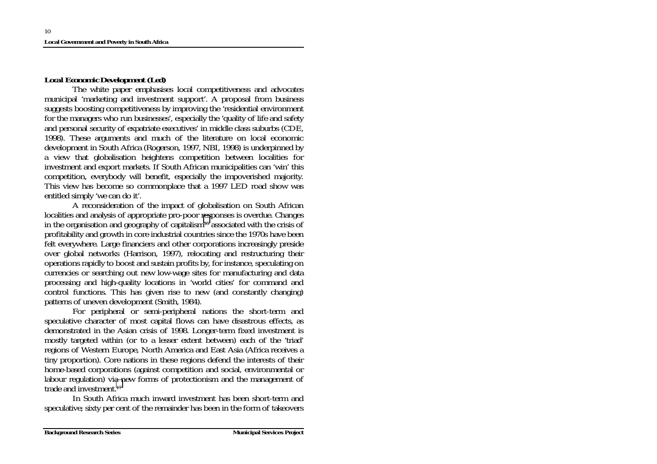## *Local Economic Development (Led)*

The white paper emphasises local competitiveness and advocates municipal 'marketing and investment support'. A proposal from business suggests boosting competitiveness by improving the 'residential environment for the managers who run businesses', especially the 'quality of life and safety and personal security of expatriate executives' in middle class suburbs (CDE, 1998). These arguments and much of the literature on local economic development in South Africa (Rogerson, 1997, NBI, 1998) is underpinned by a view that globalisation heightens competition between localities for investment and export markets. If South African municipalities can 'win' this competition, everybody will benefit, especially the impoverished majority. This view has become so commonplace that a 1997 LED road show was entitled simply 'we can do it'.

A reconsideration of the impact of globalisation on South African localities and analysis of appropriate pro-poor [res](#page-27-0)ponses is overdue. Changes in the organisation and geography of capitalism<sup>16</sup> associated with the crisis of profitability and growth in core industrial countries since the 1970s have been felt everywhere. Large financiers and other corporations increasingly preside over global networks (Harrison, 1997), relocating and restructuring their operations rapidly to boost and sustain profits by, for instance, speculating on currencies or searching out new low-wage sites for manufacturing and data processing and high-quality locations in 'world cities' for command and control functions. This has given rise to new (and constantly changing) patterns of uneven development (Smith, 1984).

For peripheral or semi-peripheral nations the short-term and speculative character of most capital flows can have disastrous effects, as demonstrated in the Asian crisis of 1998. Longer-term fixed investment is mostly targeted within (or to a lesser extent between) each of the 'triad' regions of Western Europe, North America and East Asia (Africa receives a tiny proportion). Core nations in these regions defend the interests of their home-based corporations (against competition and social, environmental or labour regulation) vi[a n](#page-27-0)ew forms of protectionism and the management of trade and investment.17

In South Africa much inward investment has been short-term and speculative; sixty per cent of the remainder has been in the form of takeovers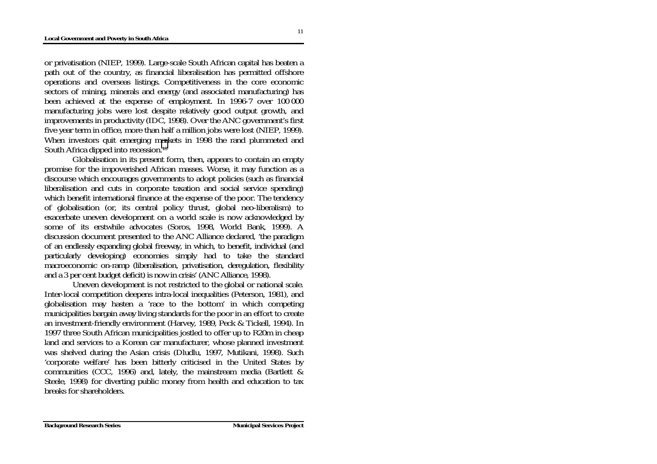or privatisation (NIEP, 1999). Large-scale South African capital has beaten a path out of the country, as financial liberalisation has permitted offshore operations and overseas listings. Competitiveness in the core economic sectors of mining, minerals and energy (and associated manufacturing) has been achieved at the expense of employment. In 1996-7 over 100 000 manufacturing jobs were lost despite relatively good output growth, and improvements in productivity (IDC, 1998). Over the ANC government's first five year term in office, more than half a million jobs were lost (NIEP, 1999). When investors quit emerging [mark](#page-27-0)ets in 1998 the rand plummeted and South Africa dipped into recession.18

Globalisation in its present form, then, appears to contain an empty promise for the impoverished African masses. Worse, it may function as a discourse which encourages governments to adopt policies (such as financial liberalisation and cuts in corporate taxation and social service spending) which benefit international finance at the expense of the poor. The tendency of globalisation (or, its central policy thrust, global neo-liberalism) to exacerbate uneven development on a world scale is now acknowledged by some of its erstwhile advocates (Soros, 1998, World Bank, 1999). A discussion document presented to the ANC Alliance declared, 'the paradigm of an endlessly expanding global freeway, in which, to benefit, individual (and particularly developing) economies simply had to take the standard macroeconomic on-ramp (liberalisation, privatisation, deregulation, flexibility and a 3 per cent budget deficit) is now in crisis' (ANC Alliance, 1998).

Uneven development is not restricted to the global or national scale. Inter-local competition deepens intra-local inequalities (Peterson, 1981), and globalisation may hasten a 'race to the bottom' in which competing municipalities bargain away living standards for the poor in an effort to create an investment-friendly environment (Harvey, 1989, Peck & Tickell, 1994). In 1997 three South African municipalities jostled to offer up to R20m in cheap land and services to a Korean car manufacturer, whose planned investment was shelved during the Asian crisis (Dludlu, 1997, Mutikani, 1998). Such 'corporate welfare' has been bitterly criticised in the United States by communities (CCC, 1996) and, lately, the mainstream media (Bartlett & Steele, 1998) for diverting public money from health and education to tax breaks for shareholders.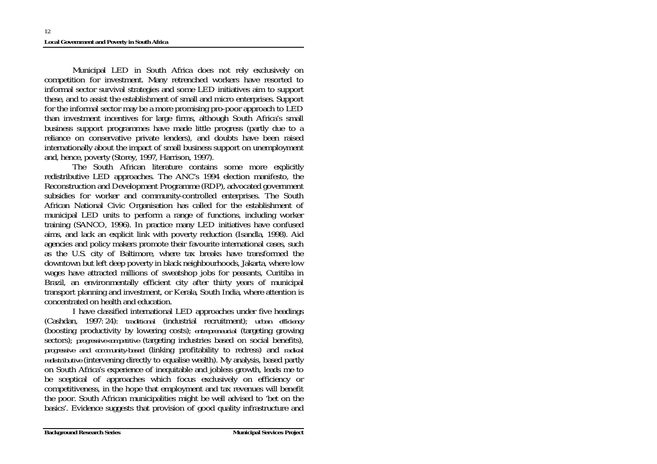Municipal LED in South Africa does not rely exclusively on competition for investment. Many retrenched workers have resorted to informal sector survival strategies and some LED initiatives aim to support these, and to assist the establishment of small and micro enterprises. Support for the informal sector may be a more promising pro-poor approach to LED than investment incentives for large firms, although South Africa's small business support programmes have made little progress (partly due to a reliance on conservative private lenders), and doubts have been raised internationally about the impact of small business support on unemployment and, hence, poverty (Storey, 1997, Harrison, 1997).

The South African literature contains some more explicitly redistributive LED approaches. The ANC's 1994 election manifesto, the Reconstruction and Development Programme (RDP), advocated government subsidies for worker and community-controlled enterprises. The South African National Civic Organisation has called for the establishment of municipal LED units to perform a range of functions, including worker training (SANCO, 1996). In practice many LED initiatives have confused aims, and lack an explicit link with poverty reduction (Isandla, 1998). Aid agencies and policy makers promote their favourite international cases, such as the U.S. city of Baltimore, where tax breaks have transformed the downtown but left deep poverty in black neighbourhoods, Jakarta, where low wages have attracted millions of sweatshop jobs for peasants, Curitiba in Brazil, an environmentally efficient city after thirty years of municipal transport planning and investment, or Kerala, South India, where attention is concentrated on health and education.

I have classified international LED approaches under five headings (Cashdan, 1997: 24): *traditional* (industrial recruitment); *urban efficiency* (boosting productivity by lowering costs); *entrepreneurial* (targeting growing sectors); *progressive-competitive* (targeting industries based on social benefits), *progressive and community-based* (linking profitability to redress) and *radical redistributive* (intervening directly to equalise wealth). My analysis, based partly on South Africa's experience of inequitable and jobless growth, leads me to be sceptical of approaches which focus exclusively on efficiency or competitiveness, in the hope that employment and tax revenues will benefit the poor. South African municipalities might be well advised to 'bet on the basics'. Evidence suggests that provision of good quality infrastructure and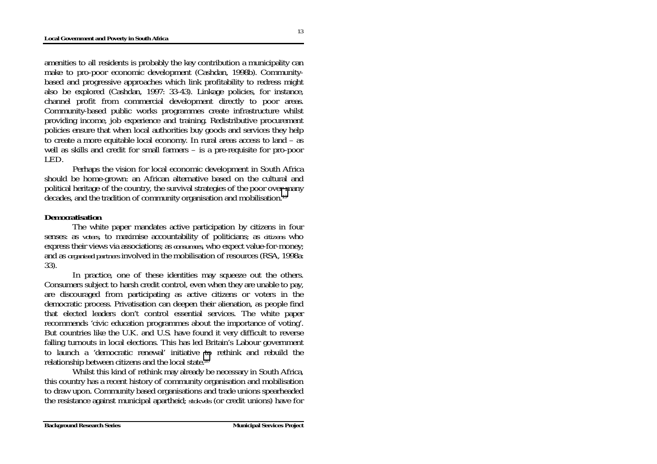amenities to all residents is probably the key contribution a municipality can make to pro-poor economic development (Cashdan, 1998b). Communitybased and progressive approaches which link profitability to redress might also be explored (Cashdan, 1997: 33-43). Linkage policies, for instance, channel profit from commercial development directly to poor areas. Community-based public works programmes create infrastructure whilst providing income, job experience and training. Redistributive procurement policies ensure that when local authorities buy goods and services they help to create a more equitable local economy. In rural areas access to land – as well as skills and credit for small farmers – is a pre-requisite for pro-poor LED.

Perhaps the vision for local economic development in South Africa should be home-grown: an African alternative based on the cultural and political heritage of the country, the survival strategies of the poor ove[r m](#page-27-0)any decades, and the tradition of community organisation and mobilisation.19

### *Democratisation*

The white paper mandates active participation by citizens in four senses: as *voters*, to maximise accountability of politicians; as *citizens* who express their views via associations; as *consumers*, who expect value-for-money; and as *organised partners* involved in the mobilisation of resources (RSA, 1998a: 33).

In practice, one of these identities may squeeze out the others. Consumers subject to harsh credit control, even when they are unable to pay, are discouraged from participating as active citizens or voters in the democratic process. Privatisation can deepen their alienation, as people find that elected leaders don't control essential services. The white paper recommends 'civic education programmes about the importance of voting'. But countries like the U.K. and U.S. have found it very difficult to reverse falling turnouts in local elections. This has led Britain's Labour government to launch a 'democratic renewal' initiative [to](#page-27-0) rethink and rebuild the relationship between citizens and the local state.20

Whilst this kind of rethink may already be necessary in South Africa, this country has a recent history of community organisation and mobilisation to draw upon. Community based organisations and trade unions spearheaded the resistance against municipal apartheid; *stokvels* (or credit unions) have for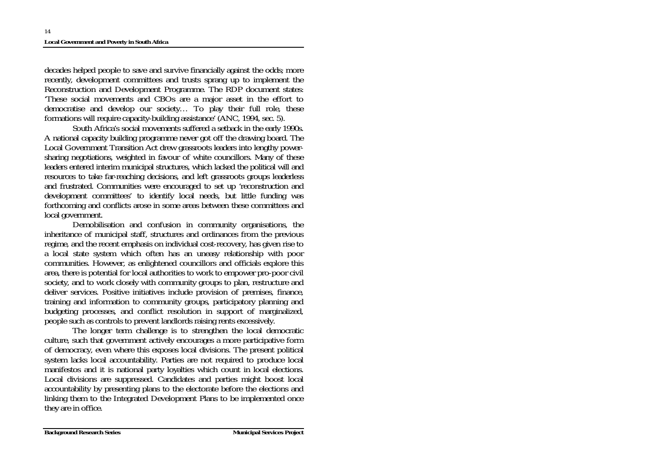decades helped people to save and survive financially against the odds; more recently, development committees and trusts sprang up to implement the Reconstruction and Development Programme. The RDP document states: 'These social movements and CBOs are a major asset in the effort to democratise and develop our society… To play their full role, these formations will require capacity-building assistance' (ANC, 1994, sec. 5).

South Africa's social movements suffered a setback in the early 1990s. A national capacity building programme never got off the drawing board. The Local Government Transition Act drew grassroots leaders into lengthy powersharing negotiations, weighted in favour of white councillors. Many of these leaders entered interim municipal structures, which lacked the political will and resources to take far-reaching decisions, and left grassroots groups leaderless and frustrated. Communities were encouraged to set up 'reconstruction and development committees' to identify local needs, but little funding was forthcoming and conflicts arose in some areas between these committees and local government.

Demobilisation and confusion in community organisations, the inheritance of municipal staff, structures and ordinances from the previous regime, and the recent emphasis on individual cost-recovery, has given rise to a local state system which often has an uneasy relationship with poor communities. However, as enlightened councillors and officials explore this area, there is potential for local authorities to work to empower pro-poor civil society, and to work closely with community groups to plan, restructure and deliver services. Positive initiatives include provision of premises, finance, training and information to community groups, participatory planning and budgeting processes, and conflict resolution in support of marginalized, people such as controls to prevent landlords raising rents excessively.

The longer term challenge is to strengthen the local democratic culture, such that government actively encourages a more participative form of democracy, even where this exposes local divisions. The present political system lacks local accountability. Parties are not required to produce local manifestos and it is national party loyalties which count in local elections. Local divisions are suppressed. Candidates and parties might boost local accountability by presenting plans to the electorate before the elections and linking them to the Integrated Development Plans to be implemented once they are in office.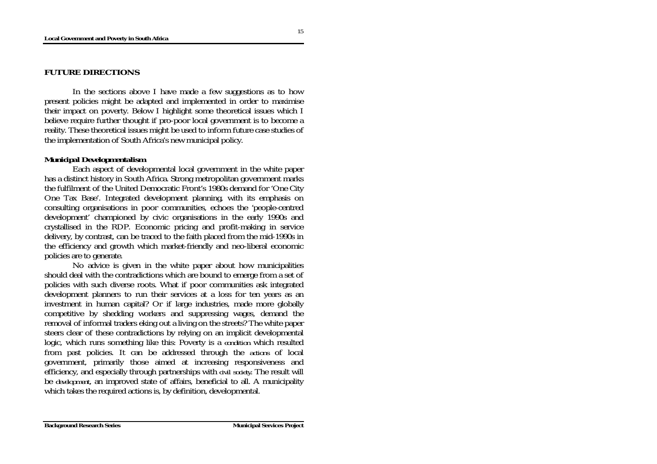In the sections above I have made a few suggestions as to how present policies might be adapted and implemented in order to maximise their impact on poverty. Below I highlight some theoretical issues which I believe require further thought if pro-poor local government is to become a reality. These theoretical issues might be used to inform future case studies of the implementation of South Africa's new municipal policy.

# *Municipal Developmentalism*

Each aspect of developmental local government in the white paper has a distinct history in South Africa. Strong metropolitan government marks the fulfilment of the United Democratic Front's 1980s demand for 'One City One Tax Base'. Integrated development planning, with its emphasis on consulting organisations in poor communities, echoes the 'people-centred development' championed by civic organisations in the early 1990s and crystallised in the RDP. Economic pricing and profit-making in service delivery, by contrast, can be traced to the faith placed from the mid-1990s in the efficiency and growth which market-friendly and neo-liberal economic policies are to generate.

No advice is given in the white paper about how municipalities should deal with the contradictions which are bound to emerge from a set of policies with such diverse roots. What if poor communities ask integrated development planners to run their services at a loss for ten years as an investment in human capital? Or if large industries, made more globally competitive by shedding workers and suppressing wages, demand the removal of informal traders eking out a living on the streets? The white paper steers clear of these contradictions by relying on an implicit developmental logic, which runs something like this: Poverty is a *condition* which resulted from past policies. It can be addressed through the *actions* of local government, primarily those aimed at increasing responsiveness and efficiency, and especially through partnerships with *civil society*. The result will be *development*, an improved state of affairs, beneficial to all. A municipality which takes the required actions is, by definition, developmental.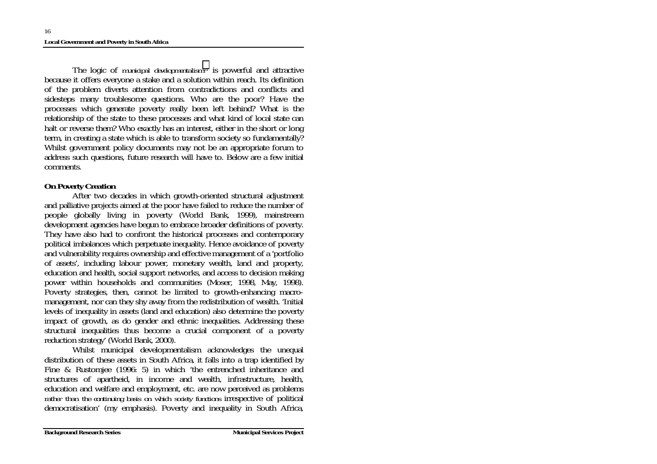The logic of *municipal developmentalism[21](#page-27-0)* is powerful and attractive because it offers everyone a stake and a solution within reach. Its definition of the problem diverts attention from contradictions and conflicts and sidesteps many troublesome questions. Who are the poor? Have the processes which generate poverty really been left behind? What is the relationship of the state to these processes and what kind of local state can halt or reverse them? Who exactly has an interest, either in the short or long term, in creating a state which is able to transform society so fundamentally? Whilst government policy documents may not be an appropriate forum to address such questions, future research will have to. Below are a few initial comments.

# *On Poverty Creation*

After two decades in which growth-oriented structural adjustment and palliative projects aimed at the poor have failed to reduce the number of people globally living in poverty (World Bank, 1999), mainstream development agencies have begun to embrace broader definitions of poverty. They have also had to confront the historical processes and contemporary political imbalances which perpetuate inequality. Hence avoidance of poverty and vulnerability requires ownership and effective management of a 'portfolio of assets', including labour power, monetary wealth, land and property, education and health, social support networks, and access to decision making power within households and communities (Moser, 1998, May, 1998). Poverty strategies, then, cannot be limited to growth-enhancing macromanagement, nor can they shy away from the redistribution of wealth. 'Initial levels of inequality in assets (land and education) also determine the poverty impact of growth, as do gender and ethnic inequalities. Addressing these structural inequalities thus become a crucial component of a poverty reduction strategy' (World Bank, 2000).

Whilst municipal developmentalism acknowledges the unequal distribution of these assets in South Africa, it falls into a trap identified by Fine & Rustomjee (1996: 5) in which 'the entrenched inheritance and structures of apartheid, in income and wealth, infrastructure, health, education and welfare and employment, etc. are now perceived as problems *rather than the continuing basis on which society functions* irrespective of political democratisation' (my emphasis). Poverty and inequality in South Africa,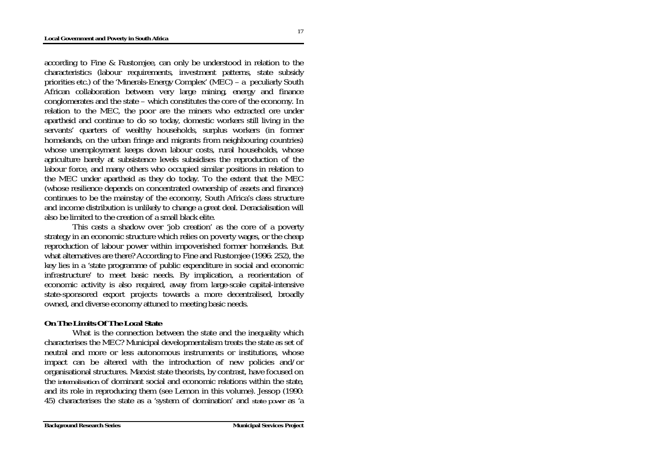according to Fine & Rustomjee, can only be understood in relation to the characteristics (labour requirements, investment patterns, state subsidy priorities etc.) of the 'Minerals-Energy Complex' (MEC) – a peculiarly South African collaboration between very large mining, energy and finance conglomerates and the state – which constitutes the core of the economy. In relation to the MEC, the poor are the miners who extracted ore under apartheid and continue to do so today, domestic workers still living in the servants' quarters of wealthy households, surplus workers (in former homelands, on the urban fringe and migrants from neighbouring countries) whose unemployment keeps down labour costs, rural households, whose agriculture barely at subsistence levels subsidises the reproduction of the labour force, and many others who occupied similar positions in relation to the MEC under apartheid as they do today. To the extent that the MEC (whose resilience depends on concentrated ownership of assets and finance) continues to be the mainstay of the economy, South Africa's class structure and income distribution is unlikely to change a great deal. Deracialisation will also be limited to the creation of a small black elite.

This casts a shadow over 'job creation' as the core of a poverty strategy in an economic structure which relies on poverty wages, or the cheap reproduction of labour power within impoverished former homelands. But what alternatives are there? According to Fine and Rustomjee (1996: 252), the key lies in a 'state programme of public expenditure in social and economic infrastructure' to meet basic needs. By implication, a reorientation of economic activity is also required, away from large-scale capital-intensive state-sponsored export projects towards a more decentralised, broadly owned, and diverse economy attuned to meeting basic needs.

# *On The Limits Of The Local State*

What is the connection between the state and the inequality which characterises the MEC? Municipal developmentalism treats the state as set of neutral and more or less autonomous instruments or institutions, whose impact can be altered with the introduction of new policies and/or organisational structures. Marxist state theorists, by contrast, have focused on the *internalisation* of dominant social and economic relations within the state, and its role in reproducing them (see Lemon in this volume). Jessop (1990: 45) characterises the state as a 'system of domination' and *state power* as 'a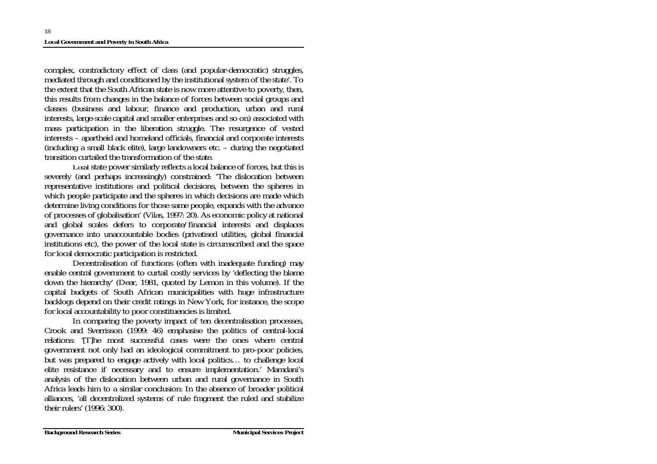complex, contradictory effect of class (and popular-democratic) struggles, mediated through and conditioned by the institutional system of the state'. To the extent that the South African state is now more attentive to poverty, then, this results from changes in the balance of forces between social groups and classes (business and labour, finance and production, urban and rural interests, large-scale capital and smaller enterprises and so on) associated with mass participation in the liberation struggle. The resurgence of vested interests – apartheid and homeland officials, financial and corporate interests (including a small black elite), large landowners etc. – during the negotiated transition curtailed the transformation of the state.

*Local* state power similarly reflects a local balance of forces, but this is severely (and perhaps increasingly) constrained: 'The dislocation between representative institutions and political decisions, between the spheres in which people participate and the spheres in which decisions are made which determine living conditions for those same people, expands with the advance of processes of globalisation' (Vilas, 1997: 20). As economic policy at national and global scales defers to corporate/financial interests and displaces governance into unaccountable bodies (privatised utilities, global financial institutions etc), the power of the local state is circumscribed and the space for local democratic participation is restricted.

Decentralisation of functions (often with inadequate funding) may enable central government to curtail costly services by 'deflecting the blame down the hierarchy' (Dear, 1981, quoted by Lemon in this volume). If the capital budgets of South African municipalities with huge infrastructure backlogs depend on their credit ratings in New York, for instance, the scope for local accountability to poor constituencies is limited.

In comparing the poverty impact of ten decentralisation processes, Crook and Sverrisson (1999: 46) emphasise the politics of central-local relations: '[T]he most successful cases were the ones where central government not only had an ideological commitment to pro-poor policies, but was prepared to engage actively with local politics… to challenge local elite resistance if necessary and to ensure implementation.' Mamdani's analysis of the dislocation between urban and rural governance in South Africa leads him to a similar conclusion: In the absence of broader political alliances, 'all decentralized systems of rule fragment the ruled and stabilize their rulers' (1996: 300).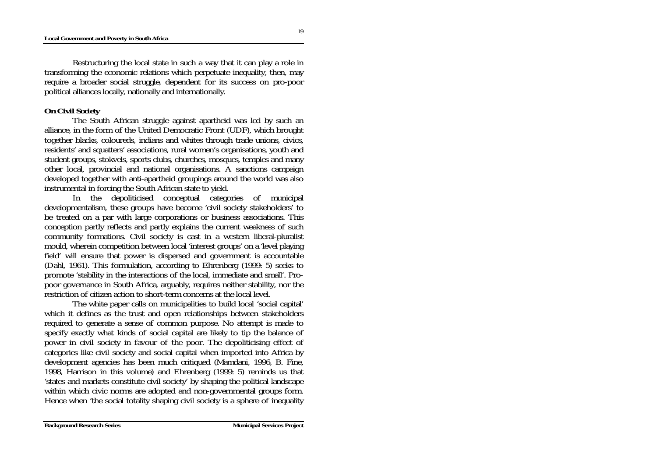Restructuring the local state in such a way that it can play a role in transforming the economic relations which perpetuate inequality, then, may require a broader social struggle, dependent for its success on pro-poor political alliances locally, nationally and internationally.

# *On Civil Society*

The South African struggle against apartheid was led by such an alliance, in the form of the United Democratic Front (UDF), which brought together blacks, coloureds, indians and whites through trade unions, civics, residents' and squatters' associations, rural women's organisations, youth and student groups, stokvels, sports clubs, churches, mosques, temples and many other local, provincial and national organisations. A sanctions campaign developed together with anti-apartheid groupings around the world was also instrumental in forcing the South African state to yield.

In the depoliticised conceptual categories of municipal developmentalism, these groups have become 'civil society stakeholders' to be treated on a par with large corporations or business associations. This conception partly reflects and partly explains the current weakness of such community formations. Civil society is cast in a western liberal-pluralist mould, wherein competition between local 'interest groups' on a 'level playing field' will ensure that power is dispersed and government is accountable (Dahl, 1961). This formulation, according to Ehrenberg (1999: 5) seeks to promote 'stability in the interactions of the local, immediate and small'. Propoor governance in South Africa, arguably, requires neither stability, nor the restriction of citizen action to short-term concerns at the local level.

The white paper calls on municipalities to build local 'social capital' which it defines as the trust and open relationships between stakeholders required to generate a sense of common purpose. No attempt is made to specify exactly what kinds of social capital are likely to tip the balance of power in civil society in favour of the poor. The depoliticising effect of categories like civil society and social capital when imported into Africa by development agencies has been much critiqued (Mamdani, 1996, B. Fine, 1998, Harrison in this volume) and Ehrenberg (1999: 5) reminds us that 'states and markets constitute civil society' by shaping the political landscape within which civic norms are adopted and non-governmental groups form. Hence when 'the social totality shaping civil society is a sphere of inequality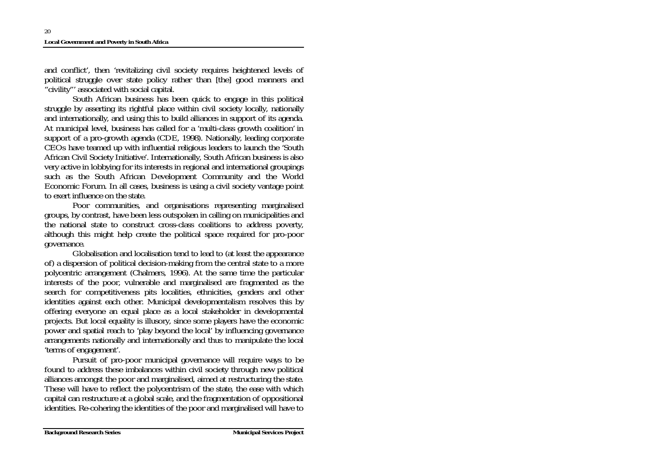and conflict', then 'revitalizing civil society requires heightened levels of political struggle over state policy rather than [the] good manners and "civility"' associated with social capital.

South African business has been quick to engage in this political struggle by asserting its rightful place within civil society locally, nationally and internationally, and using this to build alliances in support of its agenda. At municipal level, business has called for a 'multi-class growth coalition' in support of a pro-growth agenda (CDE, 1998). Nationally, leading corporate CEOs have teamed up with influential religious leaders to launch the 'South African Civil Society Initiative'. Internationally, South African business is also very active in lobbying for its interests in regional and international groupings such as the South African Development Community and the World Economic Forum. In all cases, business is using a civil society vantage point to exert influence on the state.

Poor communities, and organisations representing marginalised groups, by contrast, have been less outspoken in calling on municipalities and the national state to construct cross-class coalitions to address poverty, although this might help create the political space required for pro-poor governance.

Globalisation and localisation tend to lead to (at least the appearance of) a dispersion of political decision-making from the central state to a more polycentric arrangement (Chalmers, 1996). At the same time the particular interests of the poor, vulnerable and marginalised are fragmented as the search for competitiveness pits localities, ethnicities, genders and other identities against each other. Municipal developmentalism resolves this by offering everyone an equal place as a local stakeholder in developmental projects. But local equality is illusory, since some players have the economic power and spatial reach to 'play beyond the local' by influencing governance arrangements nationally and internationally and thus to manipulate the local 'terms of engagement'.

Pursuit of pro-poor municipal governance will require ways to be found to address these imbalances within civil society through new political alliances amongst the poor and marginalised, aimed at restructuring the state. These will have to reflect the polycentrism of the state, the ease with which capital can restructure at a global scale, and the fragmentation of oppositional identities. Re-cohering the identities of the poor and marginalised will have to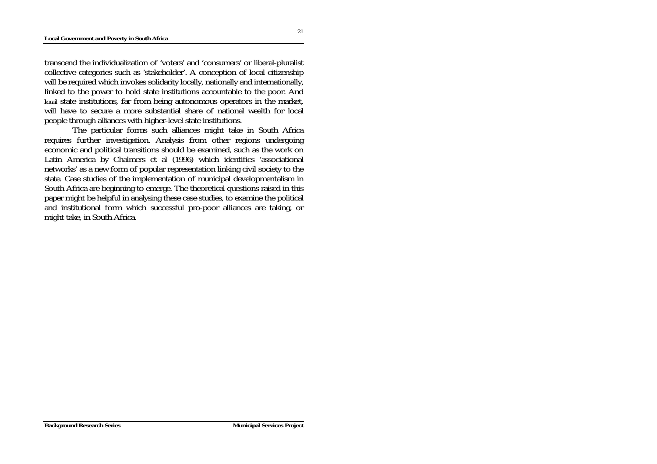transcend the individualization of 'voters' and 'consumers' or liberal-pluralist collective categories such as 'stakeholder'. A conception of local citizenship will be required which invokes solidarity locally, nationally and internationally, linked to the power to hold state institutions accountable to the poor. And *local* state institutions, far from being autonomous operators in the market, will have to secure a more substantial share of national wealth for local people through alliances with higher-level state institutions.

The particular forms such alliances might take in South Africa requires further investigation. Analysis from other regions undergoing economic and political transitions should be examined, such as the work on Latin America by Chalmers et al (1996) which identifies 'associational networks' as a new form of popular representation linking civil society to the state. Case studies of the implementation of municipal developmentalism in South Africa are beginning to emerge. The theoretical questions raised in this paper might be helpful in analysing these case studies, to examine the political and institutional form which successful pro-poor alliances are taking, or might take, in South Africa.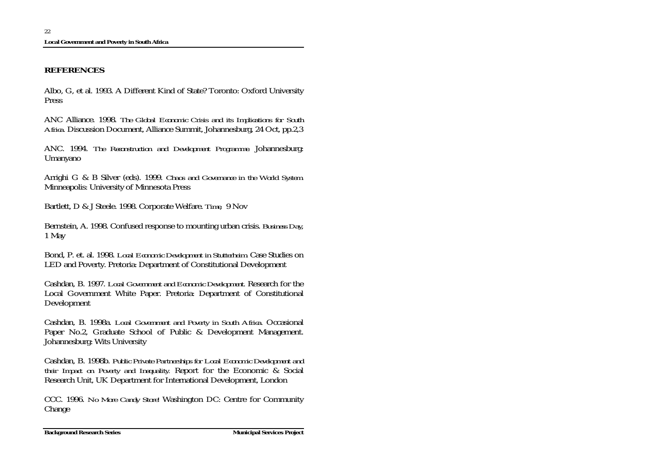# **REFERENCES**

Albo, G, et al. 1993. A Different Kind of State? Toronto: Oxford University Press

ANC Alliance. 1998. *The Global Economic Crisis and its Implications for South Africa.* Discussion Document, Alliance Summit, Johannesburg, 24 Oct, pp.2,3

ANC. 1994. *The Reconstruction and Development Programme.* Johannesburg: Umanyano

Arrighi G & B Silver (eds). 1999. *Chaos and Governance in the World System.* Minneapolis: University of Minnesota Press

Bartlett, D & J Steele. 1998. Corporate Welfare. *Time*, 9 Nov

Bernstein, A. 1998. Confused response to mounting urban crisis. *Business Day*, 1 May

Bond, P. et. al. 1998. *Local Economic Development in Stutterheim*. Case Studies on LED and Poverty. Pretoria: Department of Constitutional Development

Cashdan, B. 1997. *Local Government and Economic Development.* Research for the Local Government White Paper. Pretoria: Department of Constitutional Development

Cashdan, B. 1998a. *Local Government and Poverty in South Africa.* Occasional Paper No.2, Graduate School of Public & Development Management. Johannesburg: Wits University

Cashdan, B. 1998b. *Public Private Partnerships for Local Economic Development and their Impact on Poverty and Inequality.* Report for the Economic & Social Research Unit, UK Department for International Development, London

CCC. 1996. *No More Candy Store!* Washington DC: Centre for Community Change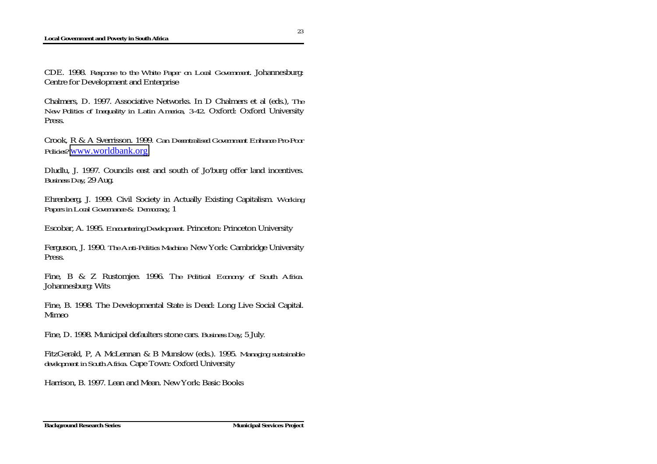CDE. 1998. *Response to the White Paper on Local Government*. Johannesburg: Centre for Development and Enterprise

Chalmers, D. 1997. Associative Networks. In D Chalmers et al (eds.), *The New Politics of Inequality in Latin America, 3-42*. Oxford: Oxford University Press.

Crook, R & A Sverrisson. 1999*. Can Decentralised Government Enhance Pro-Poor Policies?* [www.worldbank.org](http://www.worldbank.org/)

Dludlu, J. 1997. Councils east and south of Jo'burg offer land incentives. *Business Day*, 29 Aug.

Ehrenberg, J. 1999. Civil Society in Actually Existing Capitalism*. Working Papers in Local Governance & Democracy*, 1

Escobar, A. 1995. *Encountering Development.* Princeton: Princeton University

Ferguson, J. 1990. *The Anti-Politics Machine.* New York: Cambridge University Press.

Fine, B & Z Rustomjee. 1996. T*he Political Economy of South Africa.*  Johannesburg: Wits

Fine, B. 1998. The Developmental State is Dead: Long Live Social Capital. Mimeo

Fine, D. 1998. Municipal defaulters stone cars*. Business Day*, 5 July*.* 

FitzGerald, P, A McLennan & B Munslow (eds.). 1995. *Managing sustainable development in South Africa*. Cape Town: Oxford University

Harrison, B. 1997. Lean and Mean. New York: Basic Books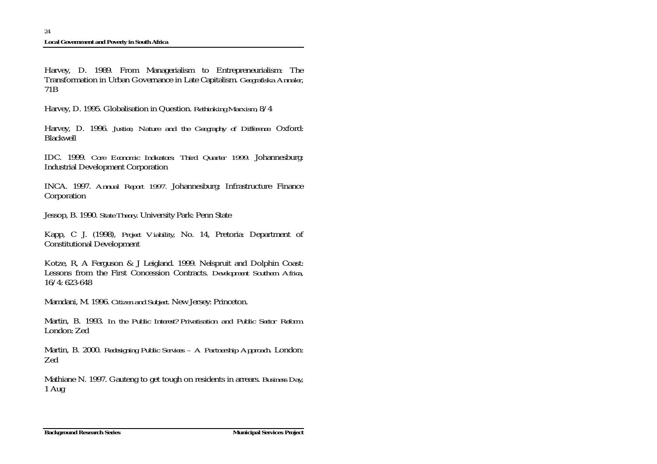Harvey, D. 1989. From Managerialism to Entrepreneurialism: The Transformation in Urban Governance in Late Capitalism. *Geografiska Annaler*, 71B

Harvey, D. 1995. Globalisation in Question. *Rethinking Marxism,* 8/4

Harvey, D. 1996. *Justice, Nature and the Geography of Difference.* Oxford: Blackwell

IDC. 1999. *Core Economic Indicators: Third Quarter 1999.* Johannesburg: Industrial Development Corporation

INCA. 1997. *Annual Report 1997.* Johannesburg: Infrastructure Finance Corporation

Jessop, B. 1990. *State Theory*. University Park: Penn State

Kapp, C J. (1998), *Project Viability,* No. 14, Pretoria: Department of Constitutional Development

Kotze, R, A Ferguson & J Leigland. 1999. Nelspruit and Dolphin Coast: Lessons from the First Concession Contracts. *Development Southern Africa,* 16/4: 623-648

Mamdani, M. 1996. *Citizen and Subject.* New Jersey: Princeton.

Martin, B. 1993. *In the Public Interest? Privatisation and Public Sector Reform*. London: Zed

Martin, B. 2000. *Redesigning Public Services – A Partnership Approach*. London: Zed

Mathiane N. 1997. Gauteng to get tough on residents in arrears. *Business Day*, 1 Aug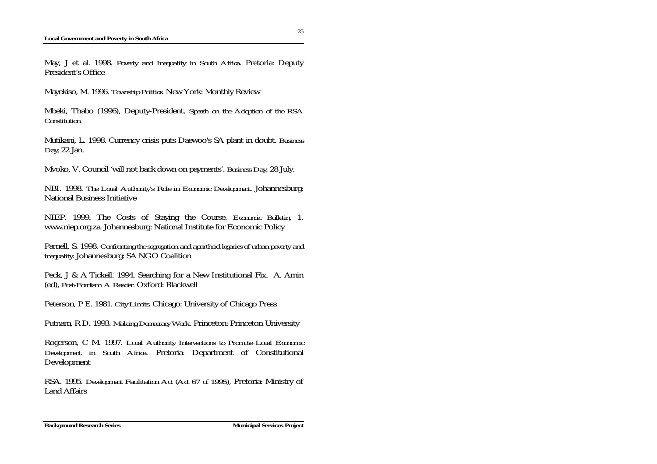May, J et al. 1998. *Poverty and Inequality in South Africa*. Pretoria: Deputy President's Office

Mayekiso, M. 1996. *Township Politics*. New York: Monthly Review

Mbeki, Thabo (1996), Deputy-President, *Speech on the Adoption of the RSA Constitution.*

Mutikani, L. 1998. Currency crisis puts Daewoo's SA plant in doubt. *Business Day*, 22 Jan.

Mvoko, V. Council 'will not back down on payments'. *Business Day,* 28 July.

NBI. 1998. *The Local Authority's Role in Economic Development.* Johannesburg: National Business Initiative

NIEP. 1999. The Costs of Staying the Course. *Economic Bulletin*, 1. www.niep.org.za. Johannesburg: National Institute for Economic Policy

Parnell, S. 1998. *Confronting the segregation and apartheid legacies of urban poverty and inequality*. Johannesburg: SA NGO Coalition

Peck, J & A Tickell. 1994. Searching for a New Institutional Fix. A. Amin (ed), *Post-Fordism: A Reader.* Oxford: Blackwell

Peterson, P E. 1981. *City Limits.* Chicago: University of Chicago Press

Putnam, R D. 1993. *Making Democracy Work*. Princeton: Princeton University

Rogerson, C M. 1997. *Local Authority Interventions to Promote Local Economic Development in South Africa.* Pretoria*:* Department of Constitutional Development

RSA. 1995. *Development Facilitation Act (Act 67 of 1995),* Pretoria: Ministry of Land Affairs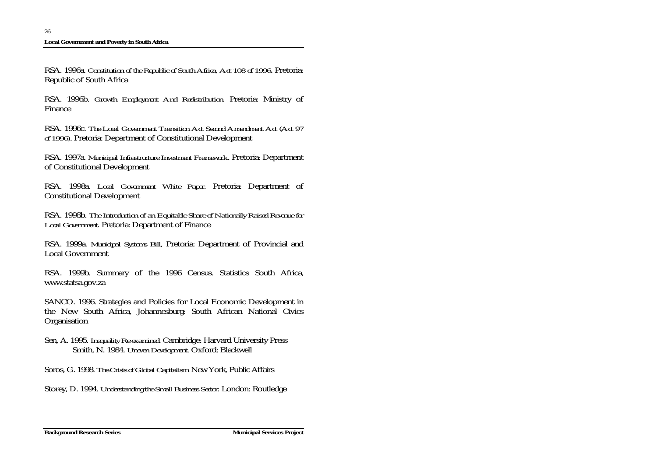RSA. 1996a. *Constitution of the Republic of South Africa, Act 108 of 1996.* Pretoria: Republic of South Africa

RSA. 1996b. *Growth Employment And Redistribution.* Pretoria: Ministry of Finance

RSA. 1996c. *The Local Government Transition Act Second Amendment Act (Act 97 of 1996).* Pretoria: Department of Constitutional Development

RSA. 1997a. *Municipal Infrastructure Investment Framework.* Pretoria: Department of Constitutional Development

RSA. 1998a. *Local Government White Paper.* Pretoria: Department of Constitutional Development

RSA. 1998b. *The Introduction of an Equitable Share of Nationally Raised Revenue for Local Government*. Pretoria: Department of Finance

RSA. 1999a. *Municipal Systems Bill,* Pretoria: Department of Provincial and Local Government

RSA. 1999b. Summary of the 1996 Census. Statistics South Africa, www.statsa.gov.za

SANCO. 1996. Strategies and Policies for Local Economic Development in the New South Africa, Johannesburg: South African National Civics **Organisation** 

Sen, A. 1995. *Inequality Re-examined.* Cambridge: Harvard University Press Smith, N. 1984. *Uneven Development.* Oxford: Blackwell

Soros, G. 1998. *The Crisis of Global Capitalism.* New York, Public Affairs

Storey, D. 1994. *Understanding the Small Business Sector*. London: Routledge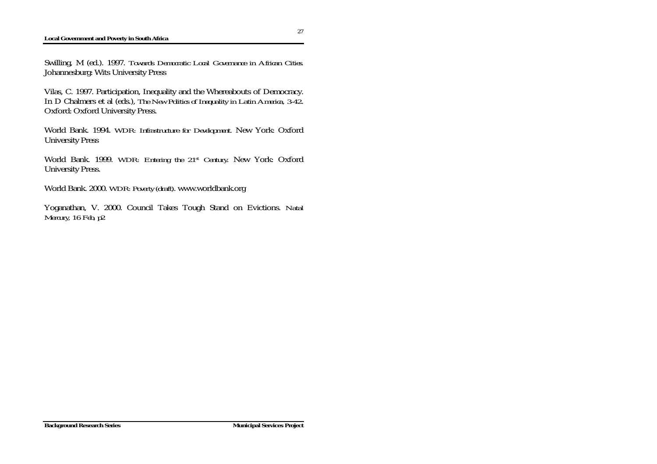#### **Local Government and Poverty in South Africa**

Swilling, M (ed.). 1997. *Towards Democratic Local Governance in African Cities.*  Johannesburg: Wits University Press

Vilas, C. 1997. Participation, Inequality and the Whereabouts of Democracy. In D Chalmers et al (eds.), *The New Politics of Inequality in Latin America, 3-42*. Oxford: Oxford University Press.

World Bank. 1994. *WDR: Infrastructure for Development.* New York: Oxford University Press

World Bank. 1999. *WDR: Entering the 21st Century*. New York: Oxford University Press.

World Bank. 2000. *WDR: Poverty (draft)*. www.worldbank.org

Yoganathan, V. 2000. Council Takes Tough Stand on Evictions. *Natal Mercury, 16 Feb, p2*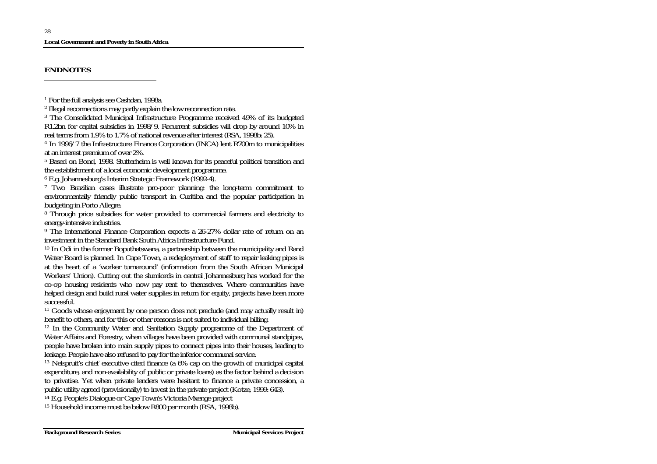### <span id="page-27-0"></span>**ENDNOTES**

2 Illegal reconnections may partly explain the low reconnection rate.

<sup>3</sup> The Consolidated Municipal Infrastructure Programme received 49% of its budgeted R1.2bn for capital subsidies in 1998/9. Recurrent subsidies will drop by around 10% in real terms from 1.9% to 1.7% of national revenue after interest (RSA, 1998b: 25).

4 In 1996/7 the Infrastructure Finance Corporation (INCA) lent R700m to municipalities at an interest premium of over 2%.

5 Based on Bond, 1998. Stutterheim is well known for its peaceful political transition and the establishment of a local economic development programme.

6 E.g. Johannesburg's Interim Strategic Framework (1992-4).

<sup>7</sup> Two Brazilian cases illustrate pro-poor planning: the long-term commitment to environmentally friendly public transport in Curitiba and the popular participation in budgeting in Porto Allegre.

8 Through price subsidies for water provided to commercial farmers and electricity to energy-intensive industries.

9 The International Finance Corporation expects a 26-27% dollar rate of return on an investment in the Standard Bank South Africa Infrastructure Fund.

<sup>10</sup> In Odi in the former Boputhatswana, a partnership between the municipality and Rand Water Board is planned. In Cape Town, a redeployment of staff to repair leaking pipes is at the heart of a 'worker turnaround' (information from the South African Municipal Workers' Union). Cutting out the slumlords in central Johannesburg has worked for the co-op housing residents who now pay rent to themselves. Where communities have helped design and build rural water supplies in return for equity, projects have been more successful.

<sup>11</sup> Goods whose enjoyment by one person does not preclude (and may actually result in) benefit to others, and for this or other reasons is not suited to individual billing.

<sup>12</sup> In the Community Water and Sanitation Supply programme of the Department of Water Affairs and Forestry, when villages have been provided with communal standpipes, people have broken into main supply pipes to connect pipes into their houses, leading to leakage. People have also refused to pay for the inferior communal service.

<sup>13</sup> Nelspruit's chief executive cited finance (a 6% cap on the growth of municipal capital expenditure, and non-availability of public or private loans) as the factor behind a decision to privatise. Yet when private lenders were hesitant to finance a private concession, a public utility agreed (provisionally) to invest in the private project (Kotze, 1999: 643).

14 E.g. People's Dialogue or Cape Town's Victoria Mxenge project

15 Household income must be below R800 per month (RSA, 1998b).

<sup>1</sup> For the full analysis see Cashdan, 1998a.